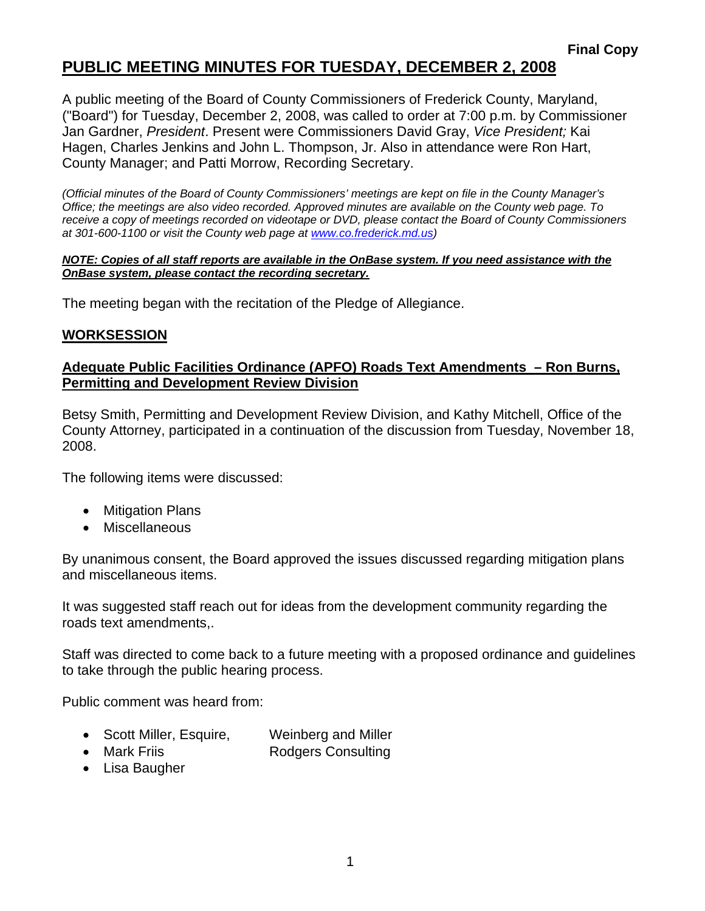# **PUBLIC MEETING MINUTES FOR TUESDAY, DECEMBER 2, 2008**

A public meeting of the Board of County Commissioners of Frederick County, Maryland, ("Board") for Tuesday, December 2, 2008, was called to order at 7:00 p.m. by Commissioner Jan Gardner, *President*. Present were Commissioners David Gray, *Vice President;* Kai Hagen, Charles Jenkins and John L. Thompson, Jr. Also in attendance were Ron Hart, County Manager; and Patti Morrow, Recording Secretary.

*(Official minutes of the Board of County Commissioners' meetings are kept on file in the County Manager's Office; the meetings are also video recorded. Approved minutes are available on the County web page. To receive a copy of meetings recorded on videotape or DVD, please contact the Board of County Commissioners at 301-600-1100 or visit the County web page at [www.co](http://www.co/).frederick.md.us)* 

#### *NOTE: Copies of all staff reports are available in the OnBase system. If you need assistance with the OnBase system, please contact the recording secretary.*

The meeting began with the recitation of the Pledge of Allegiance.

### **WORKSESSION**

### **Adequate Public Facilities Ordinance (APFO) Roads Text Amendments – Ron Burns, Permitting and Development Review Division**

Betsy Smith, Permitting and Development Review Division, and Kathy Mitchell, Office of the County Attorney, participated in a continuation of the discussion from Tuesday, November 18, 2008.

The following items were discussed:

- Mitigation Plans
- Miscellaneous

By unanimous consent, the Board approved the issues discussed regarding mitigation plans and miscellaneous items.

It was suggested staff reach out for ideas from the development community regarding the roads text amendments,.

Staff was directed to come back to a future meeting with a proposed ordinance and guidelines to take through the public hearing process.

Public comment was heard from:

- Scott Miller, Esquire, Weinberg and Miller
- Mark Friis **Rodgers Consulting**
- Lisa Baugher